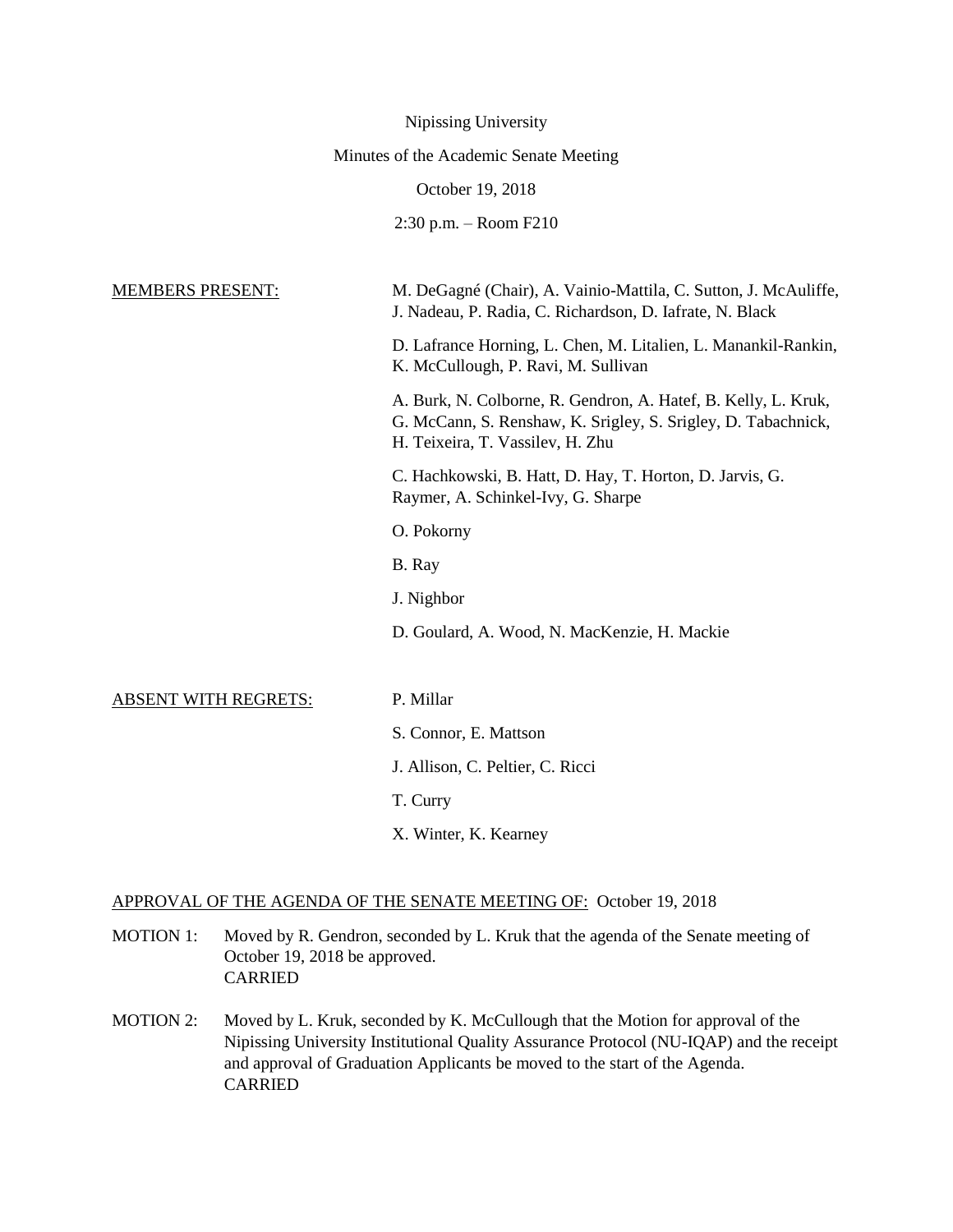|                                        | Nipissing University                                                                                                                                                |
|----------------------------------------|---------------------------------------------------------------------------------------------------------------------------------------------------------------------|
| Minutes of the Academic Senate Meeting |                                                                                                                                                                     |
|                                        | October 19, 2018                                                                                                                                                    |
|                                        | $2:30$ p.m. $-$ Room F210                                                                                                                                           |
|                                        |                                                                                                                                                                     |
| <b>MEMBERS PRESENT:</b>                | M. DeGagné (Chair), A. Vainio-Mattila, C. Sutton, J. McAuliffe,<br>J. Nadeau, P. Radia, C. Richardson, D. Iafrate, N. Black                                         |
|                                        | D. Lafrance Horning, L. Chen, M. Litalien, L. Manankil-Rankin,<br>K. McCullough, P. Ravi, M. Sullivan                                                               |
|                                        | A. Burk, N. Colborne, R. Gendron, A. Hatef, B. Kelly, L. Kruk,<br>G. McCann, S. Renshaw, K. Srigley, S. Srigley, D. Tabachnick,<br>H. Teixeira, T. Vassilev, H. Zhu |
|                                        | C. Hachkowski, B. Hatt, D. Hay, T. Horton, D. Jarvis, G.<br>Raymer, A. Schinkel-Ivy, G. Sharpe                                                                      |
|                                        | O. Pokorny                                                                                                                                                          |
|                                        | B. Ray                                                                                                                                                              |
|                                        | J. Nighbor                                                                                                                                                          |
|                                        | D. Goulard, A. Wood, N. MacKenzie, H. Mackie                                                                                                                        |
| <b>ABSENT WITH REGRETS:</b>            | P. Millar                                                                                                                                                           |
|                                        | S. Connor, E. Mattson                                                                                                                                               |
|                                        | J. Allison, C. Peltier, C. Ricci                                                                                                                                    |
|                                        | T. Curry                                                                                                                                                            |
|                                        | X. Winter, K. Kearney                                                                                                                                               |

# APPROVAL OF THE AGENDA OF THE SENATE MEETING OF: October 19, 2018

- MOTION 1: Moved by R. Gendron, seconded by L. Kruk that the agenda of the Senate meeting of October 19, 2018 be approved. CARRIED
- MOTION 2: Moved by L. Kruk, seconded by K. McCullough that the Motion for approval of the Nipissing University Institutional Quality Assurance Protocol (NU-IQAP) and the receipt and approval of Graduation Applicants be moved to the start of the Agenda. CARRIED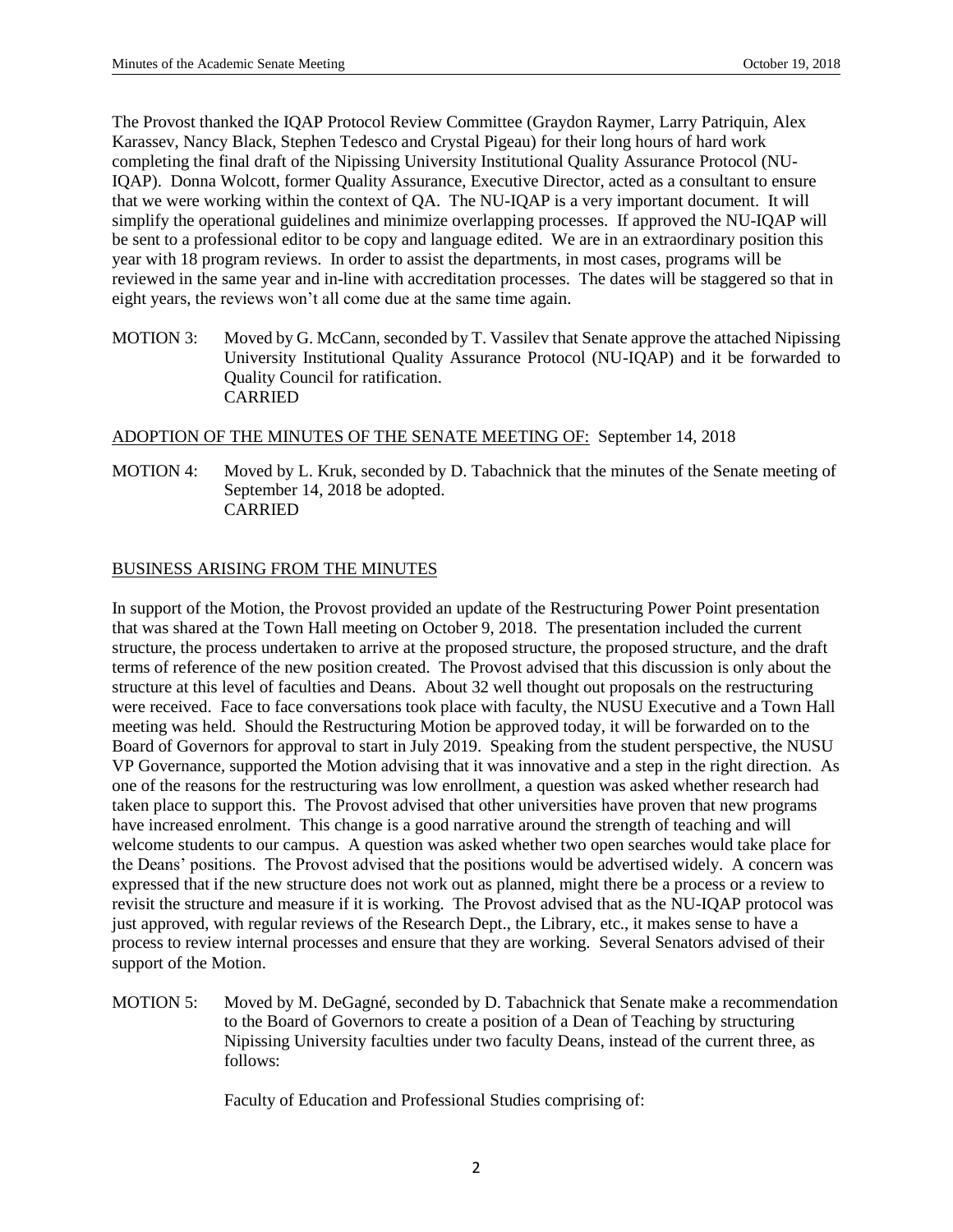The Provost thanked the IQAP Protocol Review Committee (Graydon Raymer, Larry Patriquin, Alex Karassev, Nancy Black, Stephen Tedesco and Crystal Pigeau) for their long hours of hard work completing the final draft of the Nipissing University Institutional Quality Assurance Protocol (NU-IQAP). Donna Wolcott, former Quality Assurance, Executive Director, acted as a consultant to ensure that we were working within the context of QA. The NU-IQAP is a very important document. It will simplify the operational guidelines and minimize overlapping processes. If approved the NU-IQAP will be sent to a professional editor to be copy and language edited. We are in an extraordinary position this year with 18 program reviews. In order to assist the departments, in most cases, programs will be reviewed in the same year and in-line with accreditation processes. The dates will be staggered so that in eight years, the reviews won't all come due at the same time again.

MOTION 3: Moved by G. McCann, seconded by T. Vassilev that Senate approve the attached Nipissing University Institutional Quality Assurance Protocol (NU-IQAP) and it be forwarded to Quality Council for ratification. CARRIED

# ADOPTION OF THE MINUTES OF THE SENATE MEETING OF: September 14, 2018

MOTION 4: Moved by L. Kruk, seconded by D. Tabachnick that the minutes of the Senate meeting of September 14, 2018 be adopted. CARRIED

## BUSINESS ARISING FROM THE MINUTES

In support of the Motion, the Provost provided an update of the Restructuring Power Point presentation that was shared at the Town Hall meeting on October 9, 2018. The presentation included the current structure, the process undertaken to arrive at the proposed structure, the proposed structure, and the draft terms of reference of the new position created. The Provost advised that this discussion is only about the structure at this level of faculties and Deans. About 32 well thought out proposals on the restructuring were received. Face to face conversations took place with faculty, the NUSU Executive and a Town Hall meeting was held. Should the Restructuring Motion be approved today, it will be forwarded on to the Board of Governors for approval to start in July 2019. Speaking from the student perspective, the NUSU VP Governance, supported the Motion advising that it was innovative and a step in the right direction. As one of the reasons for the restructuring was low enrollment, a question was asked whether research had taken place to support this. The Provost advised that other universities have proven that new programs have increased enrolment. This change is a good narrative around the strength of teaching and will welcome students to our campus. A question was asked whether two open searches would take place for the Deans' positions. The Provost advised that the positions would be advertised widely. A concern was expressed that if the new structure does not work out as planned, might there be a process or a review to revisit the structure and measure if it is working. The Provost advised that as the NU-IQAP protocol was just approved, with regular reviews of the Research Dept., the Library, etc., it makes sense to have a process to review internal processes and ensure that they are working. Several Senators advised of their support of the Motion.

MOTION 5: Moved by M. DeGagné, seconded by D. Tabachnick that Senate make a recommendation to the Board of Governors to create a position of a Dean of Teaching by structuring Nipissing University faculties under two faculty Deans, instead of the current three, as follows:

Faculty of Education and Professional Studies comprising of: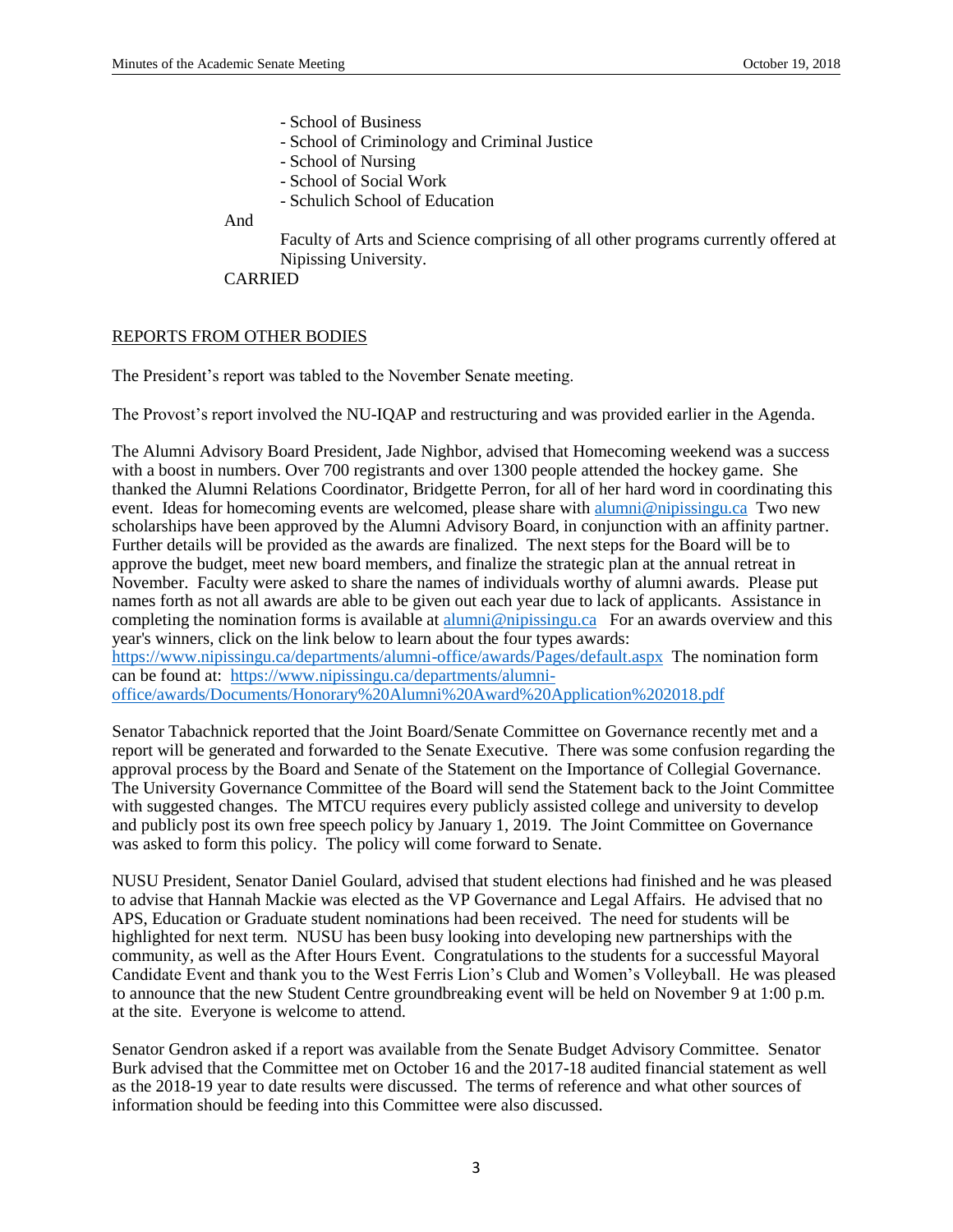- School of Business
- School of Criminology and Criminal Justice
- School of Nursing
- School of Social Work
- Schulich School of Education

And

Faculty of Arts and Science comprising of all other programs currently offered at Nipissing University.

CARRIED

#### REPORTS FROM OTHER BODIES

The President's report was tabled to the November Senate meeting.

The Provost's report involved the NU-IQAP and restructuring and was provided earlier in the Agenda.

The Alumni Advisory Board President, Jade Nighbor, advised that Homecoming weekend was a success with a boost in numbers. Over 700 registrants and over 1300 people attended the hockey game. She thanked the Alumni Relations Coordinator, Bridgette Perron, for all of her hard word in coordinating this event. Ideas for homecoming events are welcomed, please share with [alumni@nipissingu.ca](mailto:alumni@nipissingu.ca) Two new scholarships have been approved by the Alumni Advisory Board, in conjunction with an affinity partner. Further details will be provided as the awards are finalized. The next steps for the Board will be to approve the budget, meet new board members, and finalize the strategic plan at the annual retreat in November. Faculty were asked to share the names of individuals worthy of alumni awards. Please put names forth as not all awards are able to be given out each year due to lack of applicants. Assistance in completing the nomination forms is available at [alumni@nipissingu.ca](mailto:alumni@nipissingu.ca) For an awards overview and this year's winners, click on the link below to learn about the four types awards:

<https://www.nipissingu.ca/departments/alumni-office/awards/Pages/default.aspx>The nomination form can be found at: [https://www.nipissingu.ca/departments/alumni](https://www.nipissingu.ca/departments/alumni-office/awards/Documents/Honorary%20Alumni%20Award%20Application%202018.pdf)[office/awards/Documents/Honorary%20Alumni%20Award%20Application%202018.pdf](https://www.nipissingu.ca/departments/alumni-office/awards/Documents/Honorary%20Alumni%20Award%20Application%202018.pdf)

Senator Tabachnick reported that the Joint Board/Senate Committee on Governance recently met and a report will be generated and forwarded to the Senate Executive. There was some confusion regarding the approval process by the Board and Senate of the Statement on the Importance of Collegial Governance. The University Governance Committee of the Board will send the Statement back to the Joint Committee with suggested changes. The MTCU requires every publicly assisted college and university to develop and publicly post its own free speech policy by January 1, 2019. The Joint Committee on Governance was asked to form this policy. The policy will come forward to Senate.

NUSU President, Senator Daniel Goulard, advised that student elections had finished and he was pleased to advise that Hannah Mackie was elected as the VP Governance and Legal Affairs. He advised that no APS, Education or Graduate student nominations had been received. The need for students will be highlighted for next term. NUSU has been busy looking into developing new partnerships with the community, as well as the After Hours Event. Congratulations to the students for a successful Mayoral Candidate Event and thank you to the West Ferris Lion's Club and Women's Volleyball. He was pleased to announce that the new Student Centre groundbreaking event will be held on November 9 at 1:00 p.m. at the site. Everyone is welcome to attend.

Senator Gendron asked if a report was available from the Senate Budget Advisory Committee. Senator Burk advised that the Committee met on October 16 and the 2017-18 audited financial statement as well as the 2018-19 year to date results were discussed. The terms of reference and what other sources of information should be feeding into this Committee were also discussed.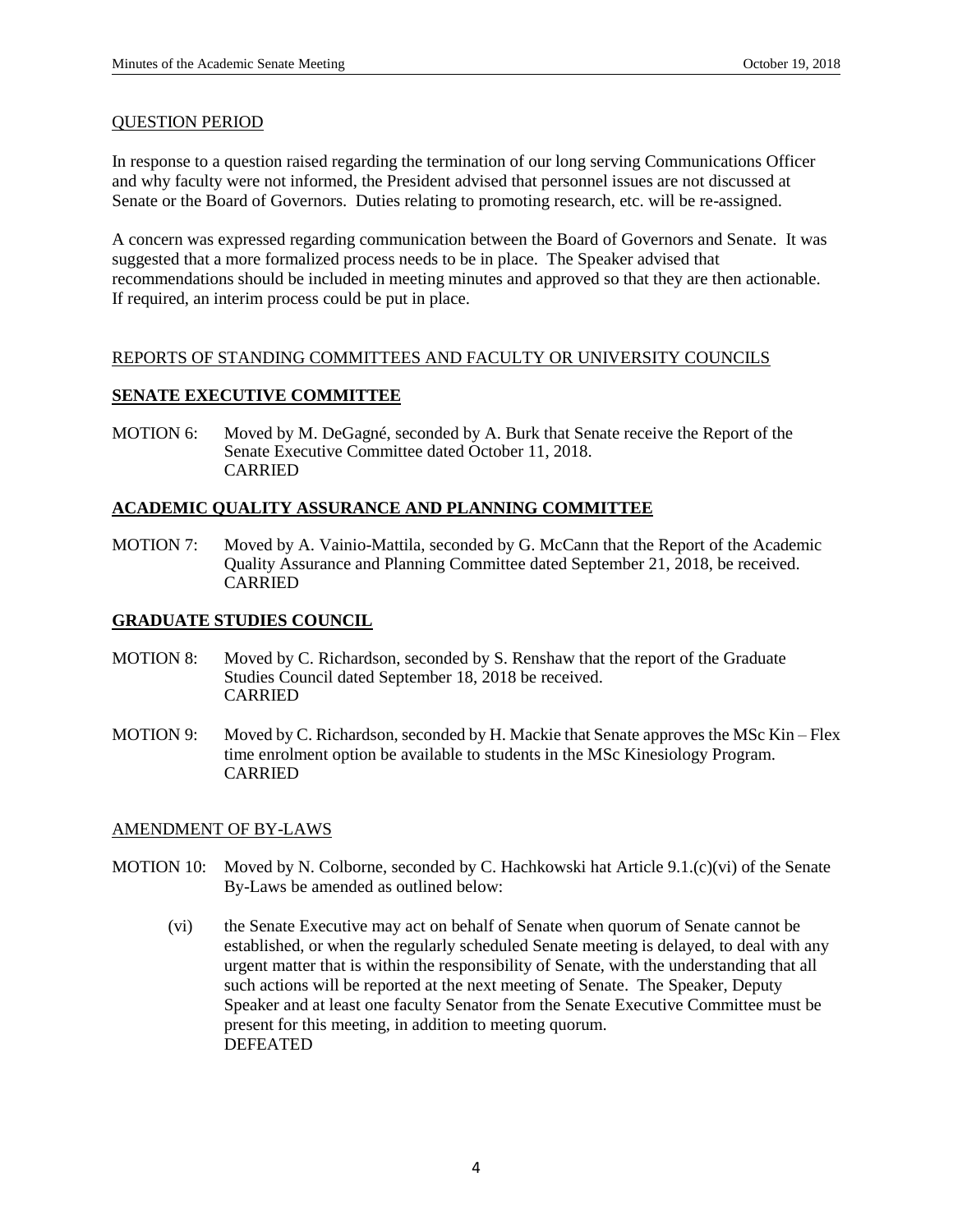#### QUESTION PERIOD

In response to a question raised regarding the termination of our long serving Communications Officer and why faculty were not informed, the President advised that personnel issues are not discussed at Senate or the Board of Governors. Duties relating to promoting research, etc. will be re-assigned.

A concern was expressed regarding communication between the Board of Governors and Senate. It was suggested that a more formalized process needs to be in place. The Speaker advised that recommendations should be included in meeting minutes and approved so that they are then actionable. If required, an interim process could be put in place.

## REPORTS OF STANDING COMMITTEES AND FACULTY OR UNIVERSITY COUNCILS

# **SENATE EXECUTIVE COMMITTEE**

MOTION 6: Moved by M. DeGagné, seconded by A. Burk that Senate receive the Report of the Senate Executive Committee dated October 11, 2018. CARRIED

## **ACADEMIC QUALITY ASSURANCE AND PLANNING COMMITTEE**

MOTION 7: Moved by A. Vainio-Mattila, seconded by G. McCann that the Report of the Academic Quality Assurance and Planning Committee dated September 21, 2018, be received. CARRIED

#### **GRADUATE STUDIES COUNCIL**

- MOTION 8: Moved by C. Richardson, seconded by S. Renshaw that the report of the Graduate Studies Council dated September 18, 2018 be received. CARRIED
- MOTION 9: Moved by C. Richardson, seconded by H. Mackie that Senate approves the MSc Kin Flex time enrolment option be available to students in the MSc Kinesiology Program. CARRIED

# AMENDMENT OF BY-LAWS

- MOTION 10: Moved by N. Colborne, seconded by C. Hachkowski hat Article 9.1.(c)(vi) of the Senate By-Laws be amended as outlined below:
	- (vi) the Senate Executive may act on behalf of Senate when quorum of Senate cannot be established, or when the regularly scheduled Senate meeting is delayed, to deal with any urgent matter that is within the responsibility of Senate, with the understanding that all such actions will be reported at the next meeting of Senate. The Speaker, Deputy Speaker and at least one faculty Senator from the Senate Executive Committee must be present for this meeting, in addition to meeting quorum. DEFEATED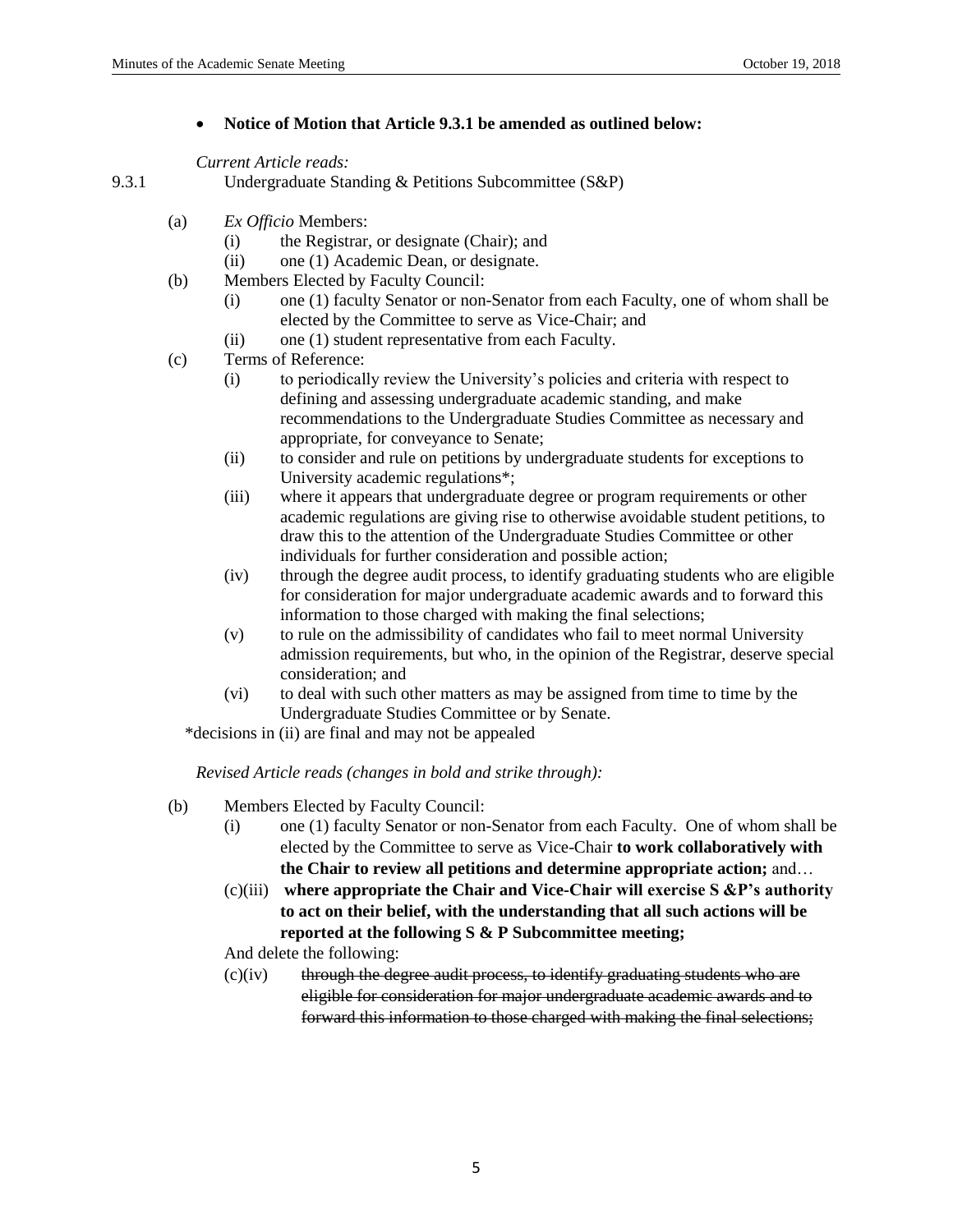## **Notice of Motion that Article 9.3.1 be amended as outlined below:**

*Current Article reads:*

```
9.3.1 Undergraduate Standing & Petitions Subcommittee (S&P)
```
- (a) *Ex Officio* Members:
	- (i) the Registrar, or designate (Chair); and
	- (ii) one (1) Academic Dean, or designate.
- (b) Members Elected by Faculty Council:
	- (i) one (1) faculty Senator or non-Senator from each Faculty, one of whom shall be elected by the Committee to serve as Vice-Chair; and
	- (ii) one (1) student representative from each Faculty.
- (c) Terms of Reference:
	- (i) to periodically review the University's policies and criteria with respect to defining and assessing undergraduate academic standing, and make recommendations to the Undergraduate Studies Committee as necessary and appropriate, for conveyance to Senate;
	- (ii) to consider and rule on petitions by undergraduate students for exceptions to University academic regulations\*;
	- (iii) where it appears that undergraduate degree or program requirements or other academic regulations are giving rise to otherwise avoidable student petitions, to draw this to the attention of the Undergraduate Studies Committee or other individuals for further consideration and possible action;
	- (iv) through the degree audit process, to identify graduating students who are eligible for consideration for major undergraduate academic awards and to forward this information to those charged with making the final selections;
	- (v) to rule on the admissibility of candidates who fail to meet normal University admission requirements, but who, in the opinion of the Registrar, deserve special consideration; and
	- (vi) to deal with such other matters as may be assigned from time to time by the Undergraduate Studies Committee or by Senate.
	- \*decisions in (ii) are final and may not be appealed

*Revised Article reads (changes in bold and strike through):*

- (b) Members Elected by Faculty Council:
	- (i) one (1) faculty Senator or non-Senator from each Faculty. One of whom shall be elected by the Committee to serve as Vice-Chair **to work collaboratively with the Chair to review all petitions and determine appropriate action;** and…
	- (c)(iii) **where appropriate the Chair and Vice-Chair will exercise S &P's authority to act on their belief, with the understanding that all such actions will be reported at the following S & P Subcommittee meeting;**

And delete the following:

 $(c)(iv)$  through the degree audit process, to identify graduating students who are eligible for consideration for major undergraduate academic awards and to forward this information to those charged with making the final selections;